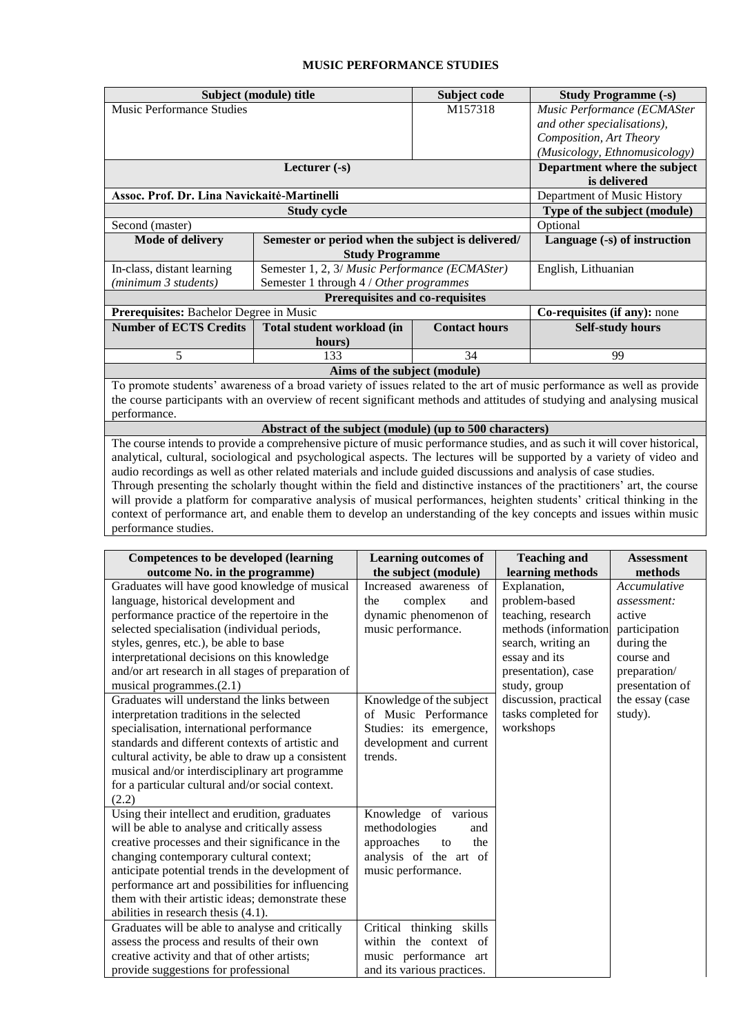## **MUSIC PERFORMANCE STUDIES**

|                                                                                                                           | Subject (module) title                             | Subject code                 | <b>Study Programme (-s)</b>   |  |  |  |
|---------------------------------------------------------------------------------------------------------------------------|----------------------------------------------------|------------------------------|-------------------------------|--|--|--|
| <b>Music Performance Studies</b>                                                                                          |                                                    | M157318                      | Music Performance (ECMASter   |  |  |  |
|                                                                                                                           |                                                    |                              | and other specialisations),   |  |  |  |
|                                                                                                                           |                                                    |                              | Composition, Art Theory       |  |  |  |
|                                                                                                                           |                                                    |                              | (Musicology, Ethnomusicology) |  |  |  |
|                                                                                                                           |                                                    | Department where the subject |                               |  |  |  |
|                                                                                                                           |                                                    |                              | is delivered                  |  |  |  |
| Assoc. Prof. Dr. Lina Navickaitė-Martinelli                                                                               | Department of Music History                        |                              |                               |  |  |  |
|                                                                                                                           | <b>Study cycle</b>                                 |                              | Type of the subject (module)  |  |  |  |
| Second (master)                                                                                                           | Optional                                           |                              |                               |  |  |  |
| <b>Mode of delivery</b>                                                                                                   | Language (-s) of instruction                       |                              |                               |  |  |  |
|                                                                                                                           | <b>Study Programme</b>                             |                              |                               |  |  |  |
| In-class, distant learning                                                                                                | Semester 1, 2, 3/ Music Performance (ECMASter)     | English, Lithuanian          |                               |  |  |  |
| (minimum 3 students)                                                                                                      | Semester 1 through 4 / Other programmes            |                              |                               |  |  |  |
| Prerequisites and co-requisites                                                                                           |                                                    |                              |                               |  |  |  |
| <b>Prerequisites:</b> Bachelor Degree in Music                                                                            |                                                    | Co-requisites (if any): none |                               |  |  |  |
| <b>Number of ECTS Credits</b>                                                                                             | Total student workload (in<br><b>Contact hours</b> |                              |                               |  |  |  |
|                                                                                                                           | hours)                                             |                              |                               |  |  |  |
| 5                                                                                                                         | 34<br>133                                          |                              |                               |  |  |  |
| Aims of the subject (module)                                                                                              |                                                    |                              |                               |  |  |  |
| To promote students' awareness of a broad variety of issues related to the art of music performance as well as provide    |                                                    |                              |                               |  |  |  |
| the course participants with an overview of recent significant methods and attitudes of studying and analysing musical    |                                                    |                              |                               |  |  |  |
| performance.                                                                                                              |                                                    |                              |                               |  |  |  |
| Abstract of the subject (module) (up to 500 characters)                                                                   |                                                    |                              |                               |  |  |  |
| The course intends to provide a comprehensive picture of music performance studies, and as such it will cover historical, |                                                    |                              |                               |  |  |  |
| analytical, cultural, sociological and psychological aspects. The lectures will be supported by a variety of video and    |                                                    |                              |                               |  |  |  |

analytical, cultural, sociological and psychological aspects. The lectures will be supported by a variety of video and audio recordings as well as other related materials and include guided discussions and analysis of case studies. Through presenting the scholarly thought within the field and distinctive instances of the practitioners' art, the course will provide a platform for comparative analysis of musical performances, heighten students' critical thinking in the context of performance art, and enable them to develop an understanding of the key concepts and issues within music performance studies.

| <b>Competences to be developed (learning</b>        | <b>Learning outcomes of</b> | <b>Teaching and</b>   | <b>Assessment</b> |
|-----------------------------------------------------|-----------------------------|-----------------------|-------------------|
| outcome No. in the programme)                       | the subject (module)        | learning methods      | methods           |
| Graduates will have good knowledge of musical       | Increased awareness of      | Explanation,          | Accumulative      |
| language, historical development and                | the<br>complex<br>and       | problem-based         | assessment:       |
| performance practice of the repertoire in the       | dynamic phenomenon of       | teaching, research    | active            |
| selected specialisation (individual periods,        | music performance.          | methods (information  | participation     |
| styles, genres, etc.), be able to base              |                             | search, writing an    | during the        |
| interpretational decisions on this knowledge        |                             | essay and its         | course and        |
| and/or art research in all stages of preparation of |                             | presentation), case   | preparation/      |
| musical programmes. $(2.1)$                         |                             | study, group          | presentation of   |
| Graduates will understand the links between         | Knowledge of the subject    | discussion, practical | the essay (case   |
| interpretation traditions in the selected           | of Music Performance        | tasks completed for   | study).           |
| specialisation, international performance           | Studies: its emergence,     | workshops             |                   |
| standards and different contexts of artistic and    | development and current     |                       |                   |
| cultural activity, be able to draw up a consistent  | trends.                     |                       |                   |
| musical and/or interdisciplinary art programme      |                             |                       |                   |
| for a particular cultural and/or social context.    |                             |                       |                   |
| (2.2)                                               |                             |                       |                   |
| Using their intellect and erudition, graduates      | Knowledge<br>of various     |                       |                   |
| will be able to analyse and critically assess       | methodologies<br>and        |                       |                   |
| creative processes and their significance in the    | approaches<br>the<br>to     |                       |                   |
| changing contemporary cultural context;             | analysis of the art of      |                       |                   |
| anticipate potential trends in the development of   | music performance.          |                       |                   |
| performance art and possibilities for influencing   |                             |                       |                   |
| them with their artistic ideas; demonstrate these   |                             |                       |                   |
| abilities in research thesis (4.1).                 |                             |                       |                   |
| Graduates will be able to analyse and critically    | Critical<br>thinking skills |                       |                   |
| assess the process and results of their own         | within the context of       |                       |                   |
| creative activity and that of other artists;        | music performance art       |                       |                   |
| provide suggestions for professional                | and its various practices.  |                       |                   |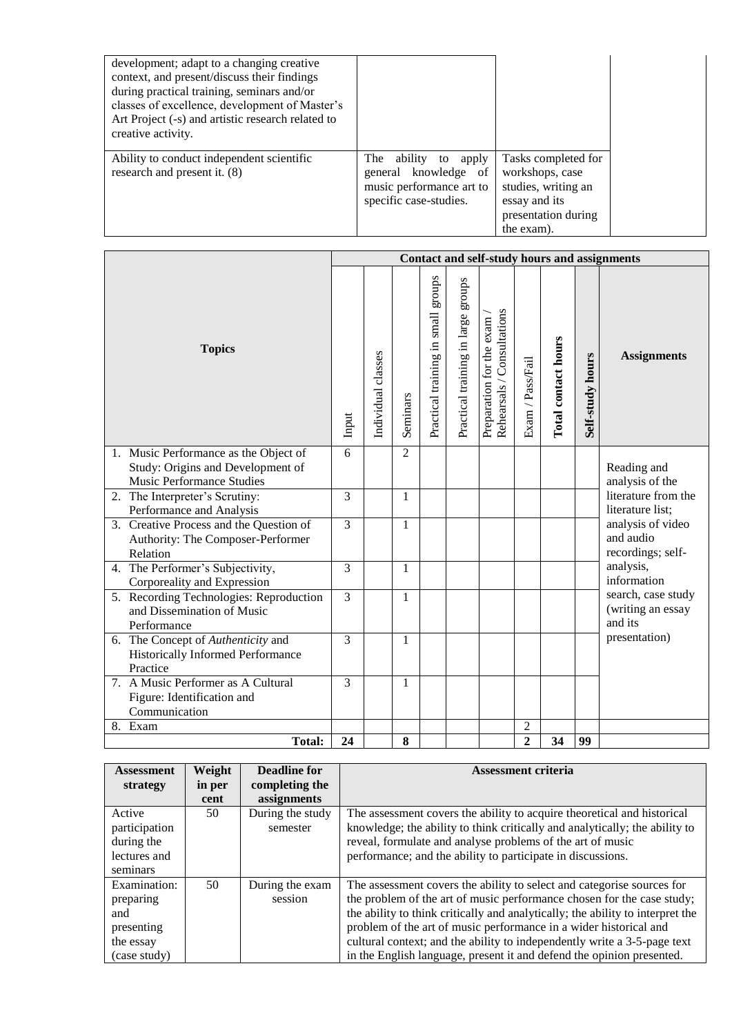| development; adapt to a changing creative<br>context, and present/discuss their findings<br>during practical training, seminars and/or<br>classes of excellence, development of Master's<br>Art Project (-s) and artistic research related to<br>creative activity. |                                                                                                       |                                                                                                                     |  |
|---------------------------------------------------------------------------------------------------------------------------------------------------------------------------------------------------------------------------------------------------------------------|-------------------------------------------------------------------------------------------------------|---------------------------------------------------------------------------------------------------------------------|--|
| Ability to conduct independent scientific<br>research and present it. (8)                                                                                                                                                                                           | The ability to<br>apply<br>general knowledge of<br>music performance art to<br>specific case-studies. | Tasks completed for<br>workshops, case<br>studies, writing an<br>essay and its<br>presentation during<br>the exam). |  |

|                                                                                                         | Contact and self-study hours and assignments |                    |                |                                           |                                    |                                                        |                                    |                     |                  |                                                     |
|---------------------------------------------------------------------------------------------------------|----------------------------------------------|--------------------|----------------|-------------------------------------------|------------------------------------|--------------------------------------------------------|------------------------------------|---------------------|------------------|-----------------------------------------------------|
| <b>Topics</b>                                                                                           |                                              | Individual classes | Seminars       | stroups<br>small<br>Practical training in | Practical training in large groups | Rehearsals / Consultations<br>Preparation for the exam | $\mbox{Exam}$ / $\mbox{Pass/fail}$ | Total contact hours | Self-study hours | <b>Assignments</b>                                  |
| 1. Music Performance as the Object of<br>Study: Origins and Development of<br>Music Performance Studies | 6                                            |                    | $\mathfrak{D}$ |                                           |                                    |                                                        |                                    |                     |                  | Reading and<br>analysis of the                      |
| 2. The Interpreter's Scrutiny:<br>Performance and Analysis                                              | 3                                            |                    | 1              |                                           |                                    |                                                        |                                    |                     |                  | literature from the<br>literature list;             |
| 3. Creative Process and the Question of<br>Authority: The Composer-Performer<br>Relation                | $\overline{3}$                               |                    | 1              |                                           |                                    |                                                        |                                    |                     |                  | analysis of video<br>and audio<br>recordings; self- |
| 4. The Performer's Subjectivity,<br>Corporeality and Expression                                         | 3                                            |                    | 1              |                                           |                                    |                                                        |                                    |                     |                  | analysis,<br>information                            |
| 5. Recording Technologies: Reproduction<br>and Dissemination of Music<br>Performance                    | 3                                            |                    | 1              |                                           |                                    |                                                        |                                    |                     |                  | search, case study<br>(writing an essay<br>and its  |
| 6. The Concept of Authenticity and<br>Historically Informed Performance<br>Practice                     | $\mathcal{E}$                                |                    | 1              |                                           |                                    |                                                        |                                    |                     |                  | presentation)                                       |
| 7. A Music Performer as A Cultural<br>Figure: Identification and<br>Communication                       | 3                                            |                    | 1              |                                           |                                    |                                                        |                                    |                     |                  |                                                     |
| 8. Exam                                                                                                 |                                              |                    |                |                                           |                                    |                                                        | $\mathfrak{2}$                     |                     |                  |                                                     |
| <b>Total:</b>                                                                                           | 24                                           |                    | 8              |                                           |                                    |                                                        | $\overline{2}$                     | 34                  | 99               |                                                     |

| <b>Assessment</b> | Weight | Deadline for     | <b>Assessment criteria</b>                                                     |
|-------------------|--------|------------------|--------------------------------------------------------------------------------|
| strategy          | in per | completing the   |                                                                                |
|                   | cent   | assignments      |                                                                                |
| Active            | 50     | During the study | The assessment covers the ability to acquire theoretical and historical        |
| participation     |        | semester         | knowledge; the ability to think critically and analytically; the ability to    |
| during the        |        |                  | reveal, formulate and analyse problems of the art of music                     |
| lectures and      |        |                  | performance; and the ability to participate in discussions.                    |
| seminars          |        |                  |                                                                                |
| Examination:      | 50     | During the exam  | The assessment covers the ability to select and categorise sources for         |
| preparing         |        | session          | the problem of the art of music performance chosen for the case study;         |
| and               |        |                  | the ability to think critically and analytically; the ability to interpret the |
| presenting        |        |                  | problem of the art of music performance in a wider historical and              |
| the essay         |        |                  | cultural context; and the ability to independently write a 3-5-page text       |
| (case study)      |        |                  | in the English language, present it and defend the opinion presented.          |